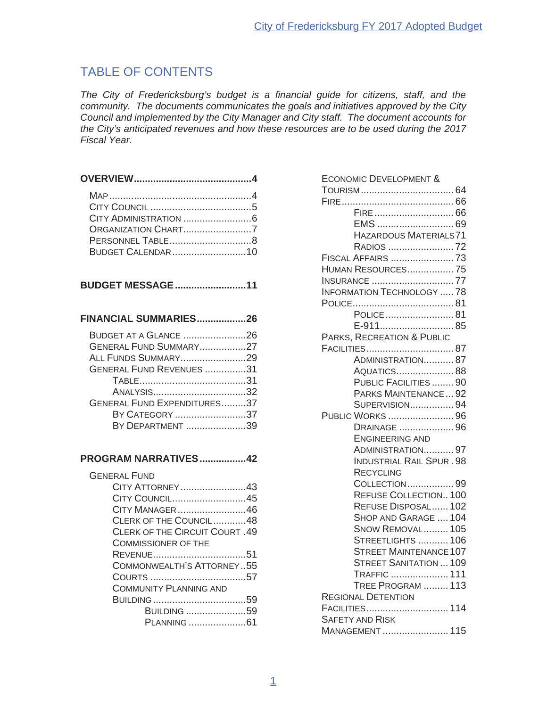# TABLE OF CONTENTS

*The City of Fredericksburg's budget is a financial guide for citizens, staff, and the community. The documents communicates the goals and initiatives approved by the City Council and implemented by the City Manager and City staff. The document accounts for the City's anticipated revenues and how these resources are to be used during the 2017 Fiscal Year.* 

| ORGANIZATION CHART7 |  |
|---------------------|--|
|                     |  |
| BUDGET CALENDAR10   |  |

| <b>BUDGET MESSAGE11</b> |  |  |  |
|-------------------------|--|--|--|
|-------------------------|--|--|--|

#### **FINANCIAL SUMMARIES ..................26**

| <b>BUDGET AT A GLANCE 26</b>       |  |
|------------------------------------|--|
| GENERAL FUND SUMMARY27             |  |
| ALL FUNDS SUMMARY29                |  |
| GENERAL FUND REVENUES 31           |  |
|                                    |  |
|                                    |  |
| <b>GENERAL FUND EXPENDITURES37</b> |  |
| BY CATEGORY 37                     |  |
| BY DEPARTMENT 39                   |  |

#### **PROGRAM NARRATIVES .................42**

| <b>GENERAL FUND</b>           |
|-------------------------------|
| CITY ATTORNEY43               |
| CITY COUNCIL45                |
| CITY MANAGER46                |
| CLERK OF THE COUNCIL48        |
| CLERK OF THE CIRCUIT COURT 49 |
| <b>COMMISSIONER OF THE</b>    |
|                               |
| COMMONWEALTH'S ATTORNEY55     |
|                               |
| COMMUNITY PLANNING AND        |
|                               |
| BUILDING 59                   |
| PLANNING 61                   |
|                               |

| <b>ECONOMIC DEVELOPMENT &amp;</b> |
|-----------------------------------|
|                                   |
|                                   |
| FIRE  66                          |
|                                   |
| <b>HAZARDOUS MATERIALS71</b>      |
| RADIOS  72                        |
| <b>FISCAL AFFAIRS  73</b>         |
| <b>HUMAN RESOURCES 75</b>         |
| <b>INSURANCE</b> 77               |
| <b>INFORMATION TECHNOLOGY  78</b> |
|                                   |
| POLICE  81                        |
| E-91185                           |
| PARKS, RECREATION & PUBLIC        |
|                                   |
| ADMINISTRATION 87                 |
| AQUATICS 88                       |
| PUBLIC FACILITIES  90             |
| PARKS MAINTENANCE 92              |
| <b>SUPERVISION 94</b>             |
| <b>PUBLIC WORKS  96</b>           |
| DRAINAGE  96                      |
| <b>ENGINEERING AND</b>            |
| ADMINISTRATION 97                 |
| <b>INDUSTRIAL RAIL SPUR. 98</b>   |
| <b>RECYCLING</b>                  |
| <b>COLLECTION 99</b>              |
| <b>REFUSE COLLECTION 100</b>      |
| REFUSE DISPOSAL 102               |
| SHOP AND GARAGE  104              |
| <b>SNOW REMOVAL 105</b>           |
| <b>STREETLIGHTS  106</b>          |
| <b>STREET MAINTENANCE 107</b>     |
| <b>STREET SANITATION  109</b>     |
| TRAFFIC  111                      |
| TREE PROGRAM  113                 |
| <b>REGIONAL DETENTION</b>         |
| FACILITIES 114                    |
| <b>SAFETY AND RISK</b>            |
| MANAGEMENT  115                   |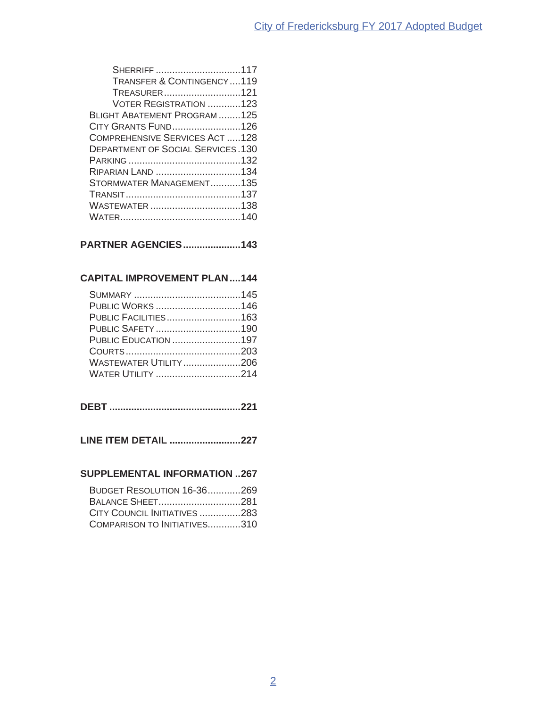| SHERRIFF 117                             |  |
|------------------------------------------|--|
| <b>TRANSFER &amp; CONTINGENCY119</b>     |  |
| TREASURER121                             |  |
| <b>VOTER REGISTRATION 123</b>            |  |
| BLIGHT ABATEMENT PROGRAM 125             |  |
| CITY GRANTS FUND126                      |  |
| COMPREHENSIVE SERVICES ACT128            |  |
| <b>DEPARTMENT OF SOCIAL SERVICES.130</b> |  |
|                                          |  |
| RIPARIAN LAND 134                        |  |
| STORMWATER MANAGEMENT135                 |  |
|                                          |  |
| WASTEWATER 138                           |  |
|                                          |  |
|                                          |  |

# **PARTNER AGENCIES .....................143**

#### **CAPITAL IMPROVEMENT PLAN ....144**

| PUBLIC WORKS 146             |  |
|------------------------------|--|
| PUBLIC FACILITIES163         |  |
|                              |  |
| <b>PUBLIC EDUCATION 197</b>  |  |
|                              |  |
| <b>WASTEWATER UTILITY206</b> |  |
| <b>WATER UTILITY 214</b>     |  |

|--|--|

|  |  |  | <b>LINE ITEM DETAIL 227</b> |
|--|--|--|-----------------------------|
|--|--|--|-----------------------------|

## **SUPPLEMENTAL INFORMATION ..267**

| <b>BUDGET RESOLUTION 16-36269</b> |  |
|-----------------------------------|--|
| BALANCE SHEET281                  |  |
| CITY COUNCIL INITIATIVES 283      |  |
| COMPARISON TO INITIATIVES310      |  |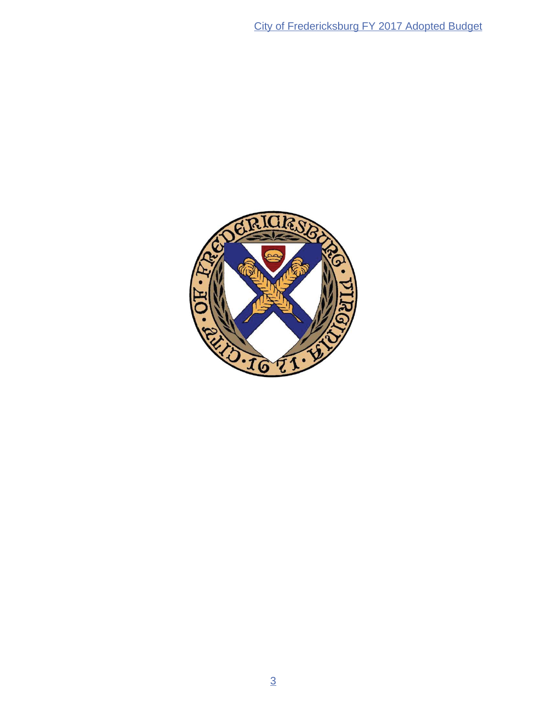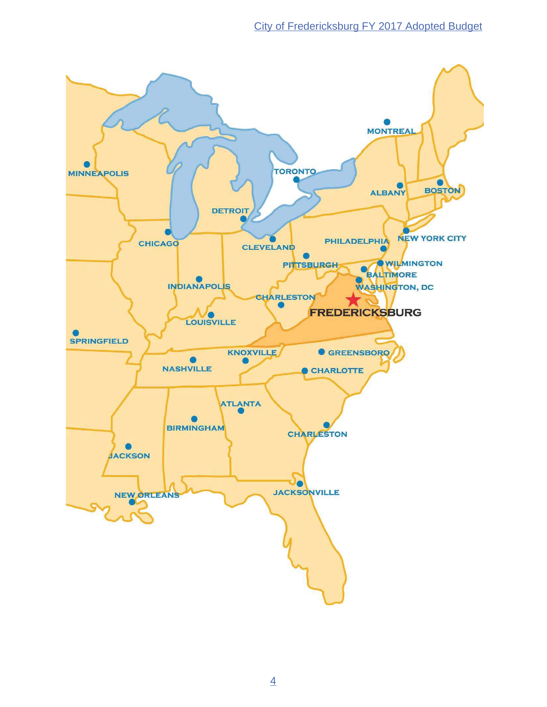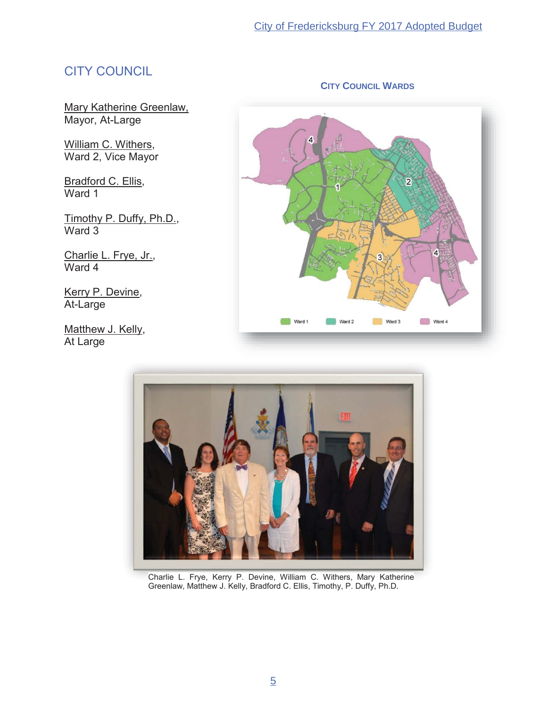# CITY COUNCIL

Mary Katherine Greenlaw. Mayor, At-Large

William C. Withers, Ward 2, Vice Mayor

Bradford C. Ellis, Ward 1

Timothy P. Duffy, Ph.D., Ward 3

Charlie L. Frye, Jr., Ward 4

Kerry P. Devine, At-Large

Matthew J. Kelly, At Large







Charlie L. Frye, Kerry P. Devine, William C. Withers, Mary Katherine Greenlaw, Matthew J. Kelly, Bradford C. Ellis, Timothy, P. Duffy, Ph.D.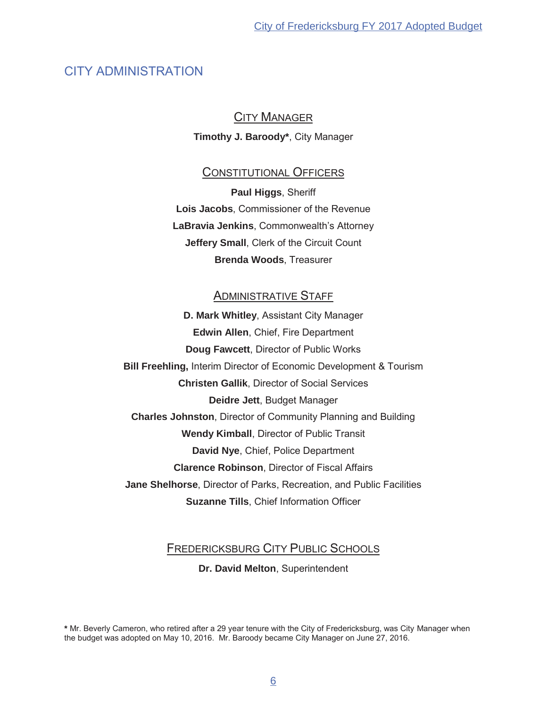# **CITY ADMINISTRATION**

### **CITY MANAGER**

Timothy J. Baroody\*, City Manager

### **CONSTITUTIONAL OFFICERS**

Paul Higgs, Sheriff Lois Jacobs, Commissioner of the Revenue LaBravia Jenkins, Commonwealth's Attorney **Jeffery Small, Clerk of the Circuit Count Brenda Woods, Treasurer** 

### **ADMINISTRATIVE STAFF**

D. Mark Whitley, Assistant City Manager **Edwin Allen, Chief, Fire Department** Doug Fawcett, Director of Public Works Bill Freehling, Interim Director of Economic Development & Tourism **Christen Gallik, Director of Social Services** Deidre Jett, Budget Manager **Charles Johnston, Director of Community Planning and Building Wendy Kimball, Director of Public Transit** David Nye, Chief, Police Department **Clarence Robinson.** Director of Fiscal Affairs Jane Shelhorse, Director of Parks, Recreation, and Public Facilities **Suzanne Tills. Chief Information Officer** 

## **FREDERICKSBURG CITY PUBLIC SCHOOLS**

Dr. David Melton, Superintendent

\* Mr. Beverly Cameron, who retired after a 29 year tenure with the City of Fredericksburg, was City Manager when the budget was adopted on May 10, 2016. Mr. Baroody became City Manager on June 27, 2016.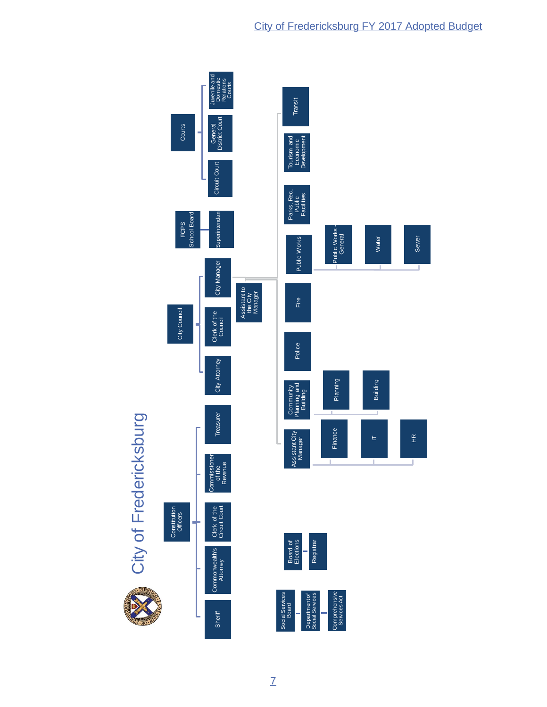City of Fredericksburg FY 2017 Adopted Budget

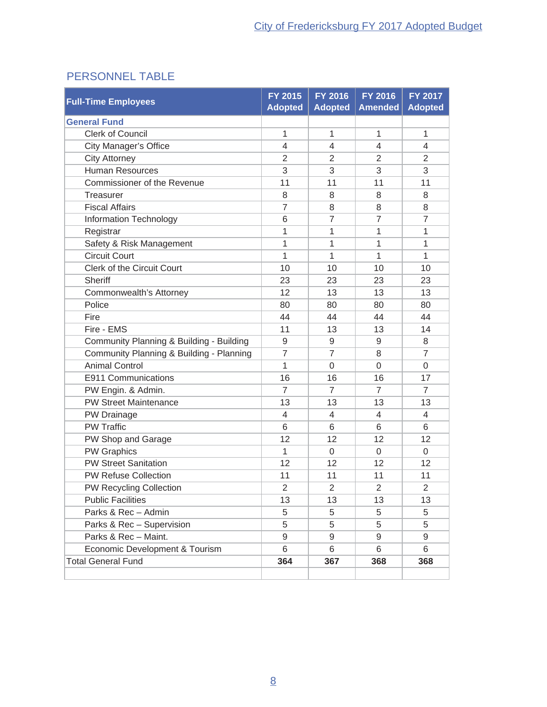# PERSONNEL TABLE

| <b>Full-Time Employees</b>               | FY 2015<br><b>Adopted</b> | FY 2016<br><b>Adopted</b> | FY 2016<br><b>Amended</b> | <b>FY 2017</b><br><b>Adopted</b> |
|------------------------------------------|---------------------------|---------------------------|---------------------------|----------------------------------|
| <b>General Fund</b>                      |                           |                           |                           |                                  |
| <b>Clerk of Council</b>                  | $\mathbf{1}$              | $\mathbf{1}$              | 1                         | 1                                |
| <b>City Manager's Office</b>             | $\overline{\mathcal{A}}$  | 4                         | 4                         | 4                                |
| <b>City Attorney</b>                     | $\overline{2}$            | 2                         | $\overline{2}$            | $\overline{2}$                   |
| <b>Human Resources</b>                   | 3                         | 3                         | 3                         | 3                                |
| <b>Commissioner of the Revenue</b>       | 11                        | 11                        | 11                        | 11                               |
| Treasurer                                | 8                         | 8                         | 8                         | 8                                |
| <b>Fiscal Affairs</b>                    | $\overline{7}$            | 8                         | 8                         | 8                                |
| Information Technology                   | 6                         | $\overline{7}$            | $\overline{7}$            | $\overline{7}$                   |
| Registrar                                | 1                         | 1                         | 1                         | 1                                |
| Safety & Risk Management                 | 1                         | 1                         | 1                         | 1                                |
| <b>Circuit Court</b>                     | 1                         | 1                         | 1                         | 1                                |
| <b>Clerk of the Circuit Court</b>        | 10                        | 10                        | 10                        | 10                               |
| Sheriff                                  | 23                        | 23                        | 23                        | 23                               |
| Commonwealth's Attorney                  | 12                        | 13                        | 13                        | 13                               |
| Police                                   | 80                        | 80                        | 80                        | 80                               |
| Fire                                     | 44                        | 44                        | 44                        | 44                               |
| Fire - EMS                               | 11                        | 13                        | 13                        | 14                               |
| Community Planning & Building - Building | 9                         | 9                         | 9                         | 8                                |
| Community Planning & Building - Planning | $\overline{7}$            | $\overline{7}$            | 8                         | 7                                |
| <b>Animal Control</b>                    | 1                         | $\Omega$                  | $\overline{0}$            | 0                                |
| E911 Communications                      | 16                        | 16                        | 16                        | 17                               |
| PW Engin. & Admin.                       | $\overline{7}$            | $\overline{7}$            | $\overline{7}$            | $\overline{7}$                   |
| <b>PW Street Maintenance</b>             | 13                        | 13                        | 13                        | 13                               |
| PW Drainage                              | 4                         | 4                         | 4                         | 4                                |
| <b>PW Traffic</b>                        | 6                         | 6                         | 6                         | 6                                |
| PW Shop and Garage                       | 12                        | 12                        | 12                        | 12                               |
| <b>PW Graphics</b>                       | 1                         | $\Omega$                  | $\Omega$                  | $\Omega$                         |
| <b>PW Street Sanitation</b>              | 12                        | 12                        | 12                        | 12                               |
| <b>PW Refuse Collection</b>              | 11                        | 11                        | 11                        | 11                               |
| PW Recycling Collection                  | $\overline{2}$            | $\overline{2}$            | $\overline{2}$            | $\overline{2}$                   |
| <b>Public Facilities</b>                 | 13                        | 13                        | 13                        | 13                               |
| Parks & Rec - Admin                      | 5                         | 5                         | 5                         | 5                                |
| Parks & Rec - Supervision                | 5                         | 5                         | 5                         | 5                                |
| Parks & Rec - Maint.                     | 9                         | 9                         | 9                         | 9                                |
| Economic Development & Tourism           | 6                         | 6                         | 6                         | 6                                |
| <b>Total General Fund</b>                | 364                       | 367                       | 368                       | 368                              |
|                                          |                           |                           |                           |                                  |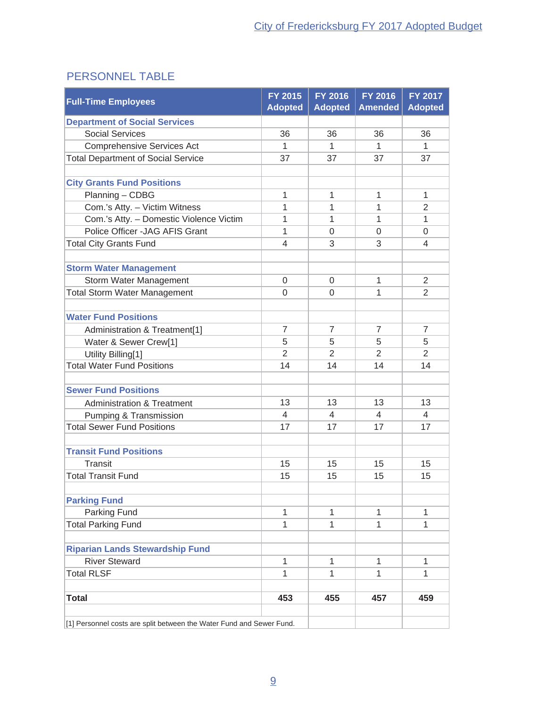# PERSONNEL TABLE

| <b>Full-Time Employees</b>                                           | FY 2015<br><b>Adopted</b> | FY 2016<br><b>Adopted</b> | FY 2016<br><b>Amended</b> | <b>FY 2017</b><br><b>Adopted</b> |
|----------------------------------------------------------------------|---------------------------|---------------------------|---------------------------|----------------------------------|
| <b>Department of Social Services</b>                                 |                           |                           |                           |                                  |
| <b>Social Services</b>                                               | 36                        | 36                        | 36                        | 36                               |
| <b>Comprehensive Services Act</b>                                    | 1                         | 1                         | 1                         | 1                                |
| <b>Total Department of Social Service</b>                            | 37                        | 37                        | 37                        | 37                               |
|                                                                      |                           |                           |                           |                                  |
| <b>City Grants Fund Positions</b>                                    |                           |                           |                           |                                  |
| Planning - CDBG                                                      | 1                         | 1                         | 1                         | 1                                |
| Com.'s Atty. - Victim Witness                                        | 1                         | 1                         | 1                         | 2                                |
| Com.'s Atty. - Domestic Violence Victim                              | 1                         | 1                         | 1                         | 1                                |
| Police Officer -JAG AFIS Grant                                       | 1                         | 0                         | 0                         | 0                                |
| <b>Total City Grants Fund</b>                                        | $\overline{\mathcal{A}}$  | 3                         | 3                         | 4                                |
|                                                                      |                           |                           |                           |                                  |
| <b>Storm Water Management</b>                                        |                           |                           |                           |                                  |
| Storm Water Management                                               | $\mathbf 0$               | 0                         | 1                         | 2                                |
| <b>Total Storm Water Management</b>                                  | $\Omega$                  | 0                         | 1                         | $\overline{2}$                   |
|                                                                      |                           |                           |                           |                                  |
| <b>Water Fund Positions</b>                                          |                           |                           |                           |                                  |
| Administration & Treatment[1]                                        | $\overline{7}$            | $\overline{7}$            | $\overline{7}$            | $\overline{7}$                   |
| Water & Sewer Crew[1]                                                | 5                         | 5                         | 5                         | 5                                |
| Utility Billing[1]                                                   | $\overline{2}$            | $\overline{2}$            | $\overline{2}$            | $\overline{2}$                   |
| <b>Total Water Fund Positions</b>                                    | 14                        | 14                        | 14                        | 14                               |
|                                                                      |                           |                           |                           |                                  |
| <b>Sewer Fund Positions</b>                                          |                           |                           |                           |                                  |
| <b>Administration &amp; Treatment</b>                                | 13                        | 13                        | 13                        | 13                               |
| Pumping & Transmission                                               | 4                         | 4                         | 4                         | 4                                |
| <b>Total Sewer Fund Positions</b>                                    | 17                        | 17                        | 17                        | 17                               |
|                                                                      |                           |                           |                           |                                  |
| <b>Transit Fund Positions</b>                                        |                           |                           |                           |                                  |
| Transit                                                              | 15                        | 15                        | 15                        | 15                               |
| <b>Total Transit Fund</b>                                            | 15                        | 15                        | 15                        | 15                               |
|                                                                      |                           |                           |                           |                                  |
| <b>Parking Fund</b>                                                  |                           |                           |                           |                                  |
| Parking Fund                                                         | 1                         | 1                         | 1                         | 1                                |
| <b>Total Parking Fund</b>                                            | 1                         | 1                         | 1                         | 1                                |
|                                                                      |                           |                           |                           |                                  |
| <b>Riparian Lands Stewardship Fund</b><br><b>River Steward</b>       | 1                         | 1                         | 1                         | 1                                |
| <b>Total RLSF</b>                                                    | 1                         | 1                         | 1                         | 1                                |
|                                                                      |                           |                           |                           |                                  |
| <b>Total</b>                                                         | 453                       | 455                       | 457                       | 459                              |
| [1] Personnel costs are split between the Water Fund and Sewer Fund. |                           |                           |                           |                                  |